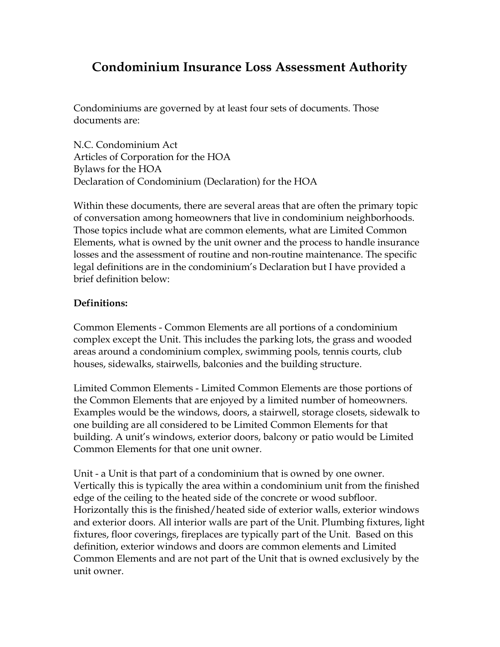# **Condominium Insurance Loss Assessment Authority**

Condominiums are governed by at least four sets of documents. Those documents are:

N.C. Condominium Act Articles of Corporation for the HOA Bylaws for the HOA Declaration of Condominium (Declaration) for the HOA

Within these documents, there are several areas that are often the primary topic of conversation among homeowners that live in condominium neighborhoods. Those topics include what are common elements, what are Limited Common Elements, what is owned by the unit owner and the process to handle insurance losses and the assessment of routine and non-routine maintenance. The specific legal definitions are in the condominium's Declaration but I have provided a brief definition below:

## **Definitions:**

Common Elements - Common Elements are all portions of a condominium complex except the Unit. This includes the parking lots, the grass and wooded areas around a condominium complex, swimming pools, tennis courts, club houses, sidewalks, stairwells, balconies and the building structure.

Limited Common Elements - Limited Common Elements are those portions of the Common Elements that are enjoyed by a limited number of homeowners. Examples would be the windows, doors, a stairwell, storage closets, sidewalk to one building are all considered to be Limited Common Elements for that building. A unit's windows, exterior doors, balcony or patio would be Limited Common Elements for that one unit owner.

Unit - a Unit is that part of a condominium that is owned by one owner. Vertically this is typically the area within a condominium unit from the finished edge of the ceiling to the heated side of the concrete or wood subfloor. Horizontally this is the finished/heated side of exterior walls, exterior windows and exterior doors. All interior walls are part of the Unit. Plumbing fixtures, light fixtures, floor coverings, fireplaces are typically part of the Unit. Based on this definition, exterior windows and doors are common elements and Limited Common Elements and are not part of the Unit that is owned exclusively by the unit owner.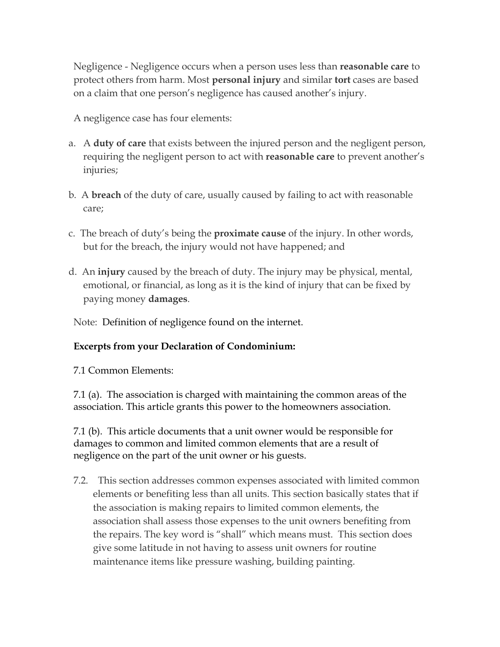Negligence - Negligence occurs when a person uses less than **reasonable care** to protect others from harm. Most **personal injury** and similar **tort** cases are based on a claim that one person's negligence has caused another's injury.

A negligence case has four elements:

- a. A **duty of care** that exists between the injured person and the negligent person, requiring the negligent person to act with **reasonable care** to prevent another's injuries;
- b. A **breach** of the duty of care, usually caused by failing to act with reasonable care;
- c. The breach of duty's being the **proximate cause** of the injury. In other words, but for the breach, the injury would not have happened; and
- d. An **injury** caused by the breach of duty. The injury may be physical, mental, emotional, or financial, as long as it is the kind of injury that can be fixed by paying money **damages**.

Note: Definition of negligence found on the internet.

## **Excerpts from your Declaration of Condominium:**

7.1 Common Elements:

7.1 (a). The association is charged with maintaining the common areas of the association. This article grants this power to the homeowners association.

7.1 (b). This article documents that a unit owner would be responsible for damages to common and limited common elements that are a result of negligence on the part of the unit owner or his guests.

7.2. This section addresses common expenses associated with limited common elements or benefiting less than all units. This section basically states that if the association is making repairs to limited common elements, the association shall assess those expenses to the unit owners benefiting from the repairs. The key word is "shall" which means must. This section does give some latitude in not having to assess unit owners for routine maintenance items like pressure washing, building painting.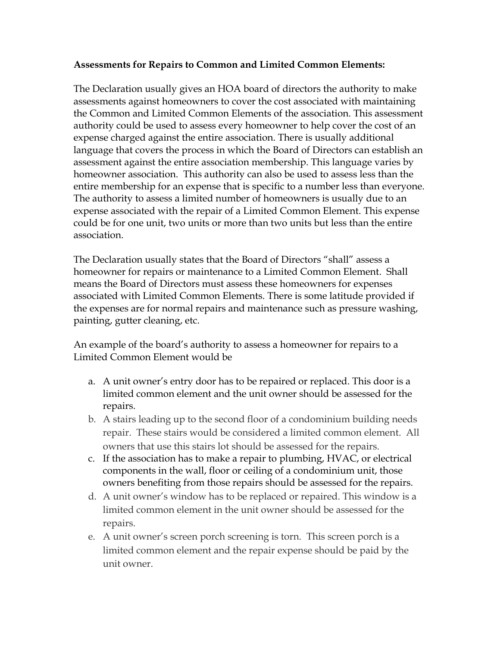#### **Assessments for Repairs to Common and Limited Common Elements:**

The Declaration usually gives an HOA board of directors the authority to make assessments against homeowners to cover the cost associated with maintaining the Common and Limited Common Elements of the association. This assessment authority could be used to assess every homeowner to help cover the cost of an expense charged against the entire association. There is usually additional language that covers the process in which the Board of Directors can establish an assessment against the entire association membership. This language varies by homeowner association. This authority can also be used to assess less than the entire membership for an expense that is specific to a number less than everyone. The authority to assess a limited number of homeowners is usually due to an expense associated with the repair of a Limited Common Element. This expense could be for one unit, two units or more than two units but less than the entire association.

The Declaration usually states that the Board of Directors "shall" assess a homeowner for repairs or maintenance to a Limited Common Element. Shall means the Board of Directors must assess these homeowners for expenses associated with Limited Common Elements. There is some latitude provided if the expenses are for normal repairs and maintenance such as pressure washing, painting, gutter cleaning, etc.

An example of the board's authority to assess a homeowner for repairs to a Limited Common Element would be

- a. A unit owner's entry door has to be repaired or replaced. This door is a limited common element and the unit owner should be assessed for the repairs.
- b. A stairs leading up to the second floor of a condominium building needs repair. These stairs would be considered a limited common element. All owners that use this stairs lot should be assessed for the repairs.
- c. If the association has to make a repair to plumbing, HVAC, or electrical components in the wall, floor or ceiling of a condominium unit, those owners benefiting from those repairs should be assessed for the repairs.
- d. A unit owner's window has to be replaced or repaired. This window is a limited common element in the unit owner should be assessed for the repairs.
- e. A unit owner's screen porch screening is torn. This screen porch is a limited common element and the repair expense should be paid by the unit owner.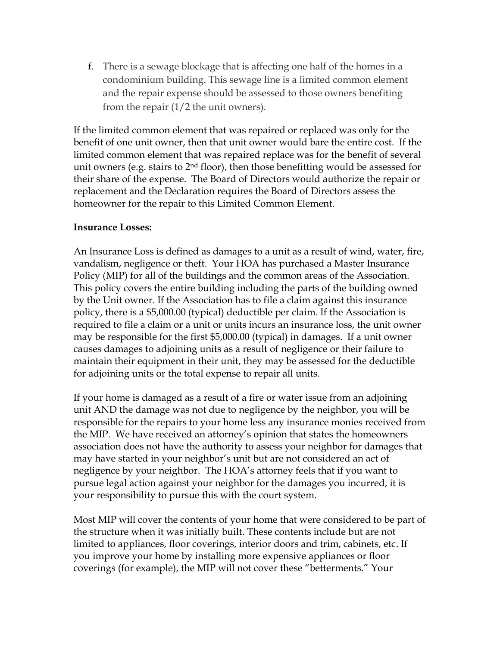f. There is a sewage blockage that is affecting one half of the homes in a condominium building. This sewage line is a limited common element and the repair expense should be assessed to those owners benefiting from the repair  $(1/2)$  the unit owners).

If the limited common element that was repaired or replaced was only for the benefit of one unit owner, then that unit owner would bare the entire cost. If the limited common element that was repaired replace was for the benefit of several unit owners (e.g. stairs to  $2<sup>nd</sup>$  floor), then those benefitting would be assessed for their share of the expense. The Board of Directors would authorize the repair or replacement and the Declaration requires the Board of Directors assess the homeowner for the repair to this Limited Common Element.

#### **Insurance Losses:**

An Insurance Loss is defined as damages to a unit as a result of wind, water, fire, vandalism, negligence or theft. Your HOA has purchased a Master Insurance Policy (MIP) for all of the buildings and the common areas of the Association. This policy covers the entire building including the parts of the building owned by the Unit owner. If the Association has to file a claim against this insurance policy, there is a \$5,000.00 (typical) deductible per claim. If the Association is required to file a claim or a unit or units incurs an insurance loss, the unit owner may be responsible for the first \$5,000.00 (typical) in damages. If a unit owner causes damages to adjoining units as a result of negligence or their failure to maintain their equipment in their unit, they may be assessed for the deductible for adjoining units or the total expense to repair all units.

If your home is damaged as a result of a fire or water issue from an adjoining unit AND the damage was not due to negligence by the neighbor, you will be responsible for the repairs to your home less any insurance monies received from the MIP. We have received an attorney's opinion that states the homeowners association does not have the authority to assess your neighbor for damages that may have started in your neighbor's unit but are not considered an act of negligence by your neighbor. The HOA's attorney feels that if you want to pursue legal action against your neighbor for the damages you incurred, it is your responsibility to pursue this with the court system.

Most MIP will cover the contents of your home that were considered to be part of the structure when it was initially built. These contents include but are not limited to appliances, floor coverings, interior doors and trim, cabinets, etc. If you improve your home by installing more expensive appliances or floor coverings (for example), the MIP will not cover these "betterments." Your